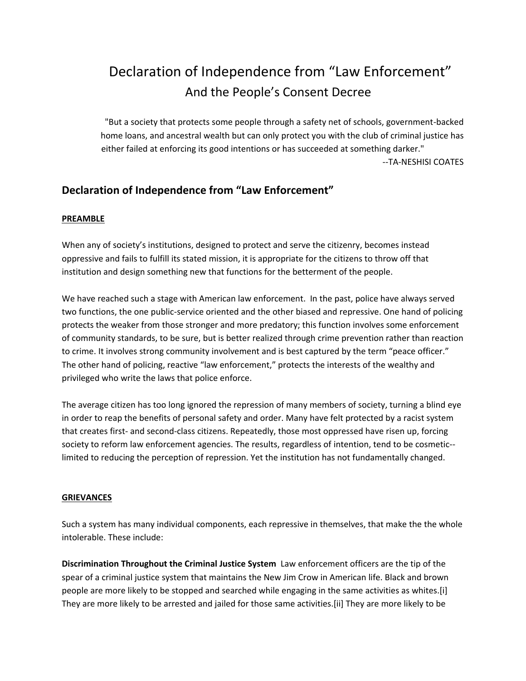# Declaration of Independence from "Law Enforcement" And the People's Consent Decree

"But a society that protects some people through a safety net of schools, government-backed home loans, and ancestral wealth but can only protect you with the club of criminal justice has either failed at enforcing its good intentions or has succeeded at something darker."

--TA-NESHISI COATES

# **Declaration of Independence from "Law Enforcement"**

## **PREAMBLE**

When any of society's institutions, designed to protect and serve the citizenry, becomes instead oppressive and fails to fulfill its stated mission, it is appropriate for the citizens to throw off that institution and design something new that functions for the betterment of the people.

We have reached such a stage with American law enforcement. In the past, police have always served two functions, the one public-service oriented and the other biased and repressive. One hand of policing protects the weaker from those stronger and more predatory; this function involves some enforcement of community standards, to be sure, but is better realized through crime prevention rather than reaction to crime. It involves strong community involvement and is best captured by the term "peace officer." The other hand of policing, reactive "law enforcement," protects the interests of the wealthy and privileged who write the laws that police enforce.

The average citizen has too long ignored the repression of many members of society, turning a blind eye in order to reap the benefits of personal safety and order. Many have felt protected by a racist system that creates first- and second-class citizens. Repeatedly, those most oppressed have risen up, forcing society to reform law enforcement agencies. The results, regardless of intention, tend to be cosmetic- limited to reducing the perception of repression. Yet the institution has not fundamentally changed.

#### **GRIEVANCES**

Such a system has many individual components, each repressive in themselves, that make the the whole intolerable. These include:

**Discrimination Throughout the Criminal Justice System** Law enforcement officers are the tip of the spear of a criminal justice system that maintains the New Jim Crow in American life. Black and brown people are more likely to be stopped and searched while engaging in the same activities as whites.[i] They are more likely to be arrested and jailed for those same activities.[ii] They are more likely to be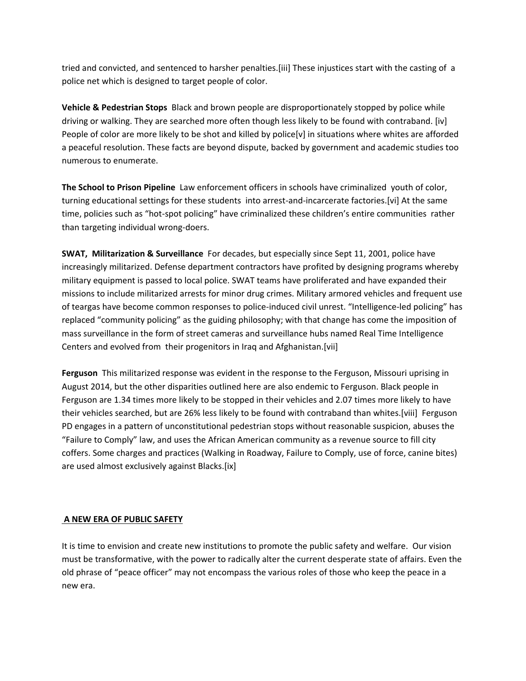tried and convicted, and sentenced to harsher penalties.[iii] These injustices start with the casting of a police net which is designed to target people of color.

**Vehicle & Pedestrian Stops** Black and brown people are disproportionately stopped by police while driving or walking. They are searched more often though less likely to be found with contraband. [iv] People of color are more likely to be shot and killed by police[v] in situations where whites are afforded a peaceful resolution. These facts are beyond dispute, backed by government and academic studies too numerous to enumerate.

**The School to Prison Pipeline** Law enforcement officers in schools have criminalized youth of color, turning educational settings for these students into arrest-and-incarcerate factories.[vi] At the same time, policies such as "hot-spot policing" have criminalized these children's entire communities rather than targeting individual wrong-doers.

**SWAT, Militarization & Surveillance** For decades, but especially since Sept 11, 2001, police have increasingly militarized. Defense department contractors have profited by designing programs whereby military equipment is passed to local police. SWAT teams have proliferated and have expanded their missions to include militarized arrests for minor drug crimes. Military armored vehicles and frequent use of teargas have become common responses to police-induced civil unrest. "Intelligence-led policing" has replaced "community policing" as the guiding philosophy; with that change has come the imposition of mass surveillance in the form of street cameras and surveillance hubs named Real Time Intelligence Centers and evolved from their progenitors in Iraq and Afghanistan.[vii]

**Ferguson** This militarized response was evident in the response to the Ferguson, Missouri uprising in August 2014, but the other disparities outlined here are also endemic to Ferguson. Black people in Ferguson are 1.34 times more likely to be stopped in their vehicles and 2.07 times more likely to have their vehicles searched, but are 26% less likely to be found with contraband than whites.[viii] Ferguson PD engages in a pattern of unconstitutional pedestrian stops without reasonable suspicion, abuses the "Failure to Comply" law, and uses the African American community as a revenue source to fill city coffers. Some charges and practices (Walking in Roadway, Failure to Comply, use of force, canine bites) are used almost exclusively against Blacks.[ix]

#### **A NEW ERA OF PUBLIC SAFETY**

It is time to envision and create new institutions to promote the public safety and welfare. Our vision must be transformative, with the power to radically alter the current desperate state of affairs. Even the old phrase of "peace officer" may not encompass the various roles of those who keep the peace in a new era.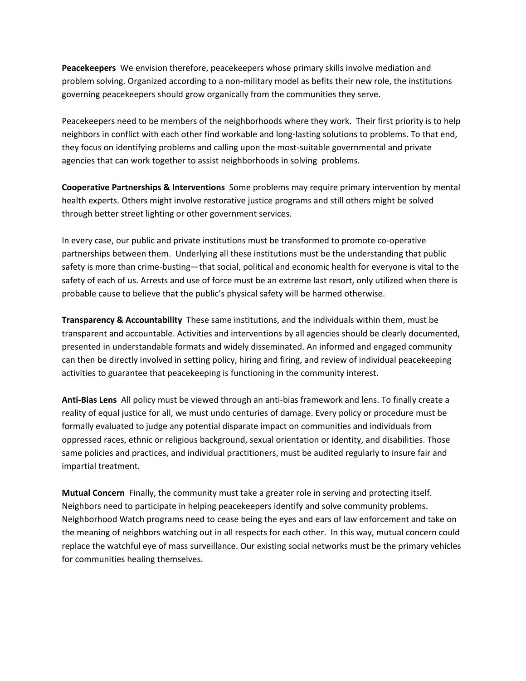**Peacekeepers** We envision therefore, peacekeepers whose primary skills involve mediation and problem solving. Organized according to a non-military model as befits their new role, the institutions governing peacekeepers should grow organically from the communities they serve.

Peacekeepers need to be members of the neighborhoods where they work. Their first priority is to help neighbors in conflict with each other find workable and long-lasting solutions to problems. To that end, they focus on identifying problems and calling upon the most-suitable governmental and private agencies that can work together to assist neighborhoods in solving problems.

**Cooperative Partnerships & Interventions** Some problems may require primary intervention by mental health experts. Others might involve restorative justice programs and still others might be solved through better street lighting or other government services.

In every case, our public and private institutions must be transformed to promote co-operative partnerships between them. Underlying all these institutions must be the understanding that public safety is more than crime-busting—that social, political and economic health for everyone is vital to the safety of each of us. Arrests and use of force must be an extreme last resort, only utilized when there is probable cause to believe that the public's physical safety will be harmed otherwise.

**Transparency & Accountability** These same institutions, and the individuals within them, must be transparent and accountable. Activities and interventions by all agencies should be clearly documented, presented in understandable formats and widely disseminated. An informed and engaged community can then be directly involved in setting policy, hiring and firing, and review of individual peacekeeping activities to guarantee that peacekeeping is functioning in the community interest.

**Anti-Bias Lens** All policy must be viewed through an anti-bias framework and lens. To finally create a reality of equal justice for all, we must undo centuries of damage. Every policy or procedure must be formally evaluated to judge any potential disparate impact on communities and individuals from oppressed races, ethnic or religious background, sexual orientation or identity, and disabilities. Those same policies and practices, and individual practitioners, must be audited regularly to insure fair and impartial treatment.

**Mutual Concern** Finally, the community must take a greater role in serving and protecting itself. Neighbors need to participate in helping peacekeepers identify and solve community problems. Neighborhood Watch programs need to cease being the eyes and ears of law enforcement and take on the meaning of neighbors watching out in all respects for each other. In this way, mutual concern could replace the watchful eye of mass surveillance. Our existing social networks must be the primary vehicles for communities healing themselves.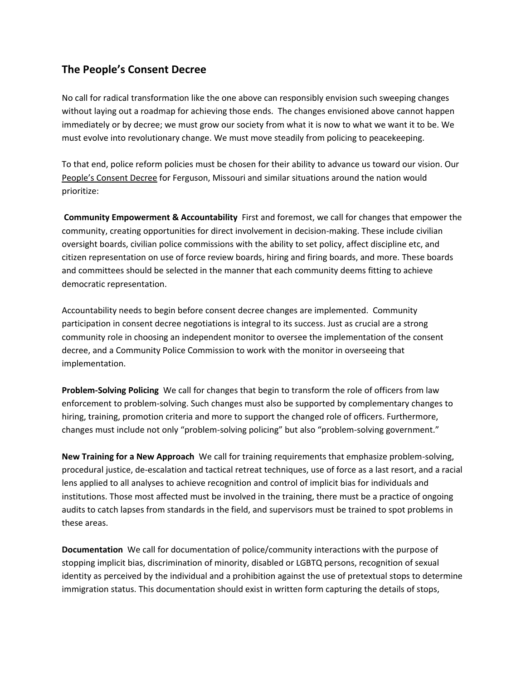## **The People's Consent Decree**

No call for radical transformation like the one above can responsibly envision such sweeping changes without laying out a roadmap for achieving those ends. The changes envisioned above cannot happen immediately or by decree; we must grow our society from what it is now to what we want it to be. We must evolve into revolutionary change. We must move steadily from policing to peacekeeping.

To that end, police reform policies must be chosen for their ability to advance us toward our vision. Our People's Consent Decree for Ferguson, Missouri and similar situations around the nation would prioritize:

**Community Empowerment & Accountability** First and foremost, we call for changes that empower the community, creating opportunities for direct involvement in decision-making. These include civilian oversight boards, civilian police commissions with the ability to set policy, affect discipline etc, and citizen representation on use of force review boards, hiring and firing boards, and more. These boards and committees should be selected in the manner that each community deems fitting to achieve democratic representation.

Accountability needs to begin before consent decree changes are implemented. Community participation in consent decree negotiations is integral to its success. Just as crucial are a strong community role in choosing an independent monitor to oversee the implementation of the consent decree, and a Community Police Commission to work with the monitor in overseeing that implementation.

**Problem-Solving Policing** We call for changes that begin to transform the role of officers from law enforcement to problem-solving. Such changes must also be supported by complementary changes to hiring, training, promotion criteria and more to support the changed role of officers. Furthermore, changes must include not only "problem-solving policing" but also "problem-solving government."

**New Training for a New Approach** We call for training requirements that emphasize problem-solving, procedural justice, de-escalation and tactical retreat techniques, use of force as a last resort, and a racial lens applied to all analyses to achieve recognition and control of implicit bias for individuals and institutions. Those most affected must be involved in the training, there must be a practice of ongoing audits to catch lapses from standards in the field, and supervisors must be trained to spot problems in these areas.

**Documentation** We call for documentation of police/community interactions with the purpose of stopping implicit bias, discrimination of minority, disabled or LGBTQ persons, recognition of sexual identity as perceived by the individual and a prohibition against the use of pretextual stops to determine immigration status. This documentation should exist in written form capturing the details of stops,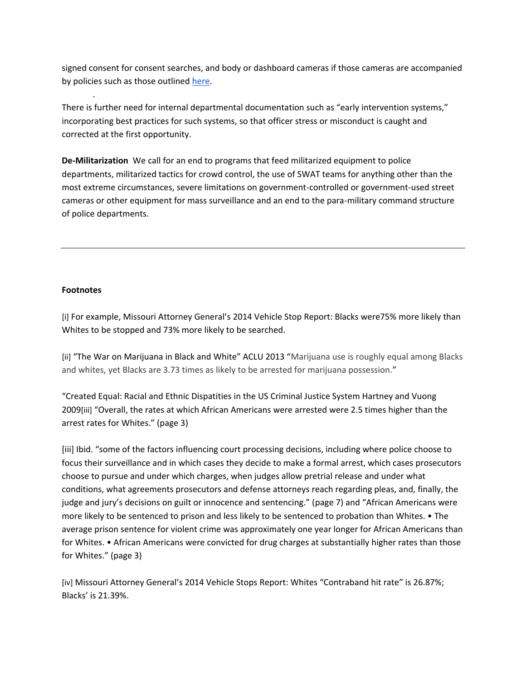signed consent for consent searches, and body or dashboard cameras if those cameras are accompanied by policies such as those outlined [here.](http://www.dronefreestl.org/?p=688)

There is further need for internal departmental documentation such as "early intervention systems," incorporating best practices for such systems, so that officer stress or misconduct is caught and corrected at the first opportunity.

**De-Militarization** We call for an end to programs that feed militarized equipment to police departments, militarized tactics for crowd control, the use of SWAT teams for anything other than the most extreme circumstances, severe limitations on government-controlled or government-used street cameras or other equipment for mass surveillance and an end to the para-military command structure of police departments.

## **Footnotes**

.

[i] For example, Missouri Attorney General's 2014 Vehicle Stop Report: Blacks were75% more likely than Whites to be stopped and 73% more likely to be searched.

[ii] "The War on Marijuana in Black and White" ACLU 2013 "Marijuana use is roughly equal among Blacks and whites, yet Blacks are 3.73 times as likely to be arrested for marijuana possession."

"Created Equal: Racial and Ethnic Dispatities in the US Criminal Justice System Hartney and Vuong 2009[iii] "Overall, the rates at which African Americans were arrested were 2.5 times higher than the arrest rates for Whites." (page 3)

[iii] Ibid. "some of the factors influencing court processing decisions, including where police choose to focus their surveillance and in which cases they decide to make a formal arrest, which cases prosecutors choose to pursue and under which charges, when judges allow pretrial release and under what conditions, what agreements prosecutors and defense attorneys reach regarding pleas, and, finally, the judge and jury's decisions on guilt or innocence and sentencing." (page 7) and "African Americans were more likely to be sentenced to prison and less likely to be sentenced to probation than Whites. • The average prison sentence for violent crime was approximately one year longer for African Americans than for Whites. • African Americans were convicted for drug charges at substantially higher rates than those for Whites." (page 3)

[iv] Missouri Attorney General's 2014 Vehicle Stops Report: Whites "Contraband hit rate" is 26.87%; Blacks' is 21.39%.